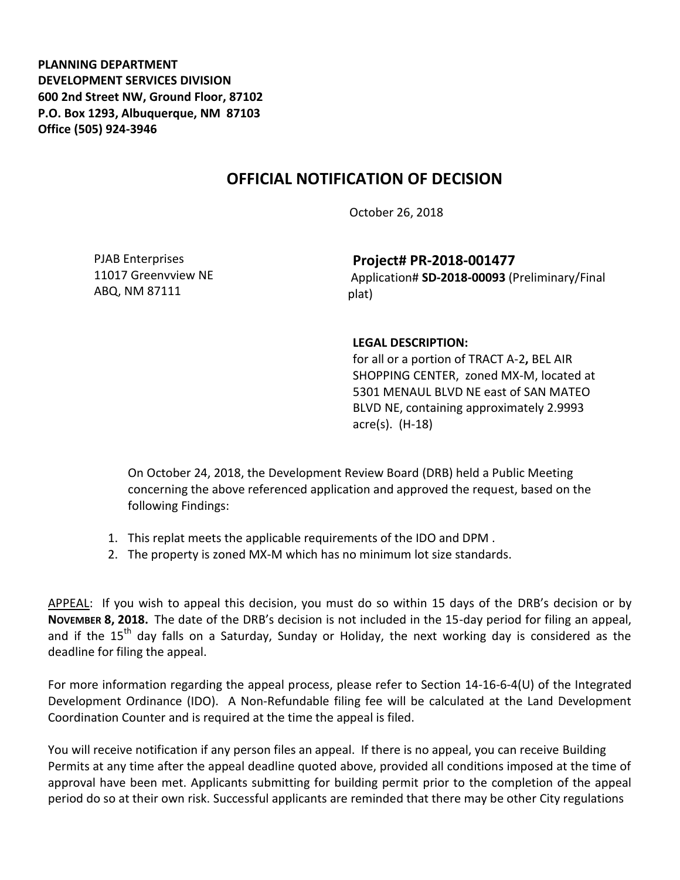**PLANNING DEPARTMENT DEVELOPMENT SERVICES DIVISION 600 2nd Street NW, Ground Floor, 87102 P.O. Box 1293, Albuquerque, NM 87103 Office (505) 924-3946** 

## **OFFICIAL NOTIFICATION OF DECISION**

October 26, 2018

PJAB Enterprises 11017 Greenvview NE ABQ, NM 87111

**Project# PR-2018-001477**

Application# **SD-2018-00093** (Preliminary/Final plat)

## **LEGAL DESCRIPTION:**

for all or a portion of TRACT A-2**,** BEL AIR SHOPPING CENTER, zoned MX-M, located at 5301 MENAUL BLVD NE east of SAN MATEO BLVD NE, containing approximately 2.9993 acre(s). (H-18)

On October 24, 2018, the Development Review Board (DRB) held a Public Meeting concerning the above referenced application and approved the request, based on the following Findings:

- 1. This replat meets the applicable requirements of the IDO and DPM .
- 2. The property is zoned MX-M which has no minimum lot size standards.

APPEAL: If you wish to appeal this decision, you must do so within 15 days of the DRB's decision or by **NOVEMBER 8, 2018.** The date of the DRB's decision is not included in the 15-day period for filing an appeal, and if the  $15<sup>th</sup>$  day falls on a Saturday, Sunday or Holiday, the next working day is considered as the deadline for filing the appeal.

For more information regarding the appeal process, please refer to Section 14-16-6-4(U) of the Integrated Development Ordinance (IDO). A Non-Refundable filing fee will be calculated at the Land Development Coordination Counter and is required at the time the appeal is filed.

You will receive notification if any person files an appeal. If there is no appeal, you can receive Building Permits at any time after the appeal deadline quoted above, provided all conditions imposed at the time of approval have been met. Applicants submitting for building permit prior to the completion of the appeal period do so at their own risk. Successful applicants are reminded that there may be other City regulations